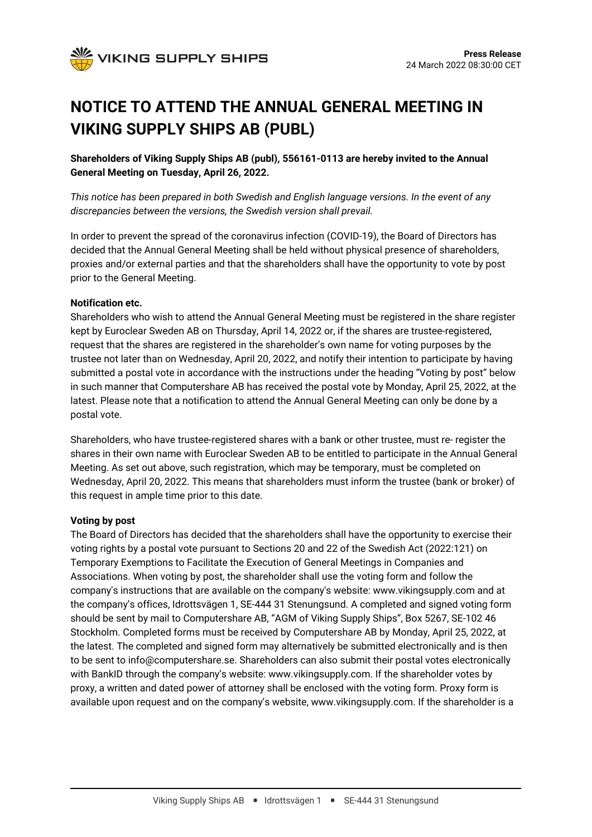

# **NOTICE TO ATTEND THE ANNUAL GENERAL MEETING IN VIKING SUPPLY SHIPS AB (PUBL)**

**Shareholders of Viking Supply Ships AB (publ), 556161-0113 are hereby invited to the Annual General Meeting on Tuesday, April 26, 2022.**

*This notice has been prepared in both Swedish and English language versions. In the event of any discrepancies between the versions, the Swedish version shall prevail.*

In order to prevent the spread of the coronavirus infection (COVID-19), the Board of Directors has decided that the Annual General Meeting shall be held without physical presence of shareholders, proxies and/or external parties and that the shareholders shall have the opportunity to vote by post prior to the General Meeting.

#### **Notification etc.**

Shareholders who wish to attend the Annual General Meeting must be registered in the share register kept by Euroclear Sweden AB on Thursday, April 14, 2022 or, if the shares are trustee-registered, request that the shares are registered in the shareholder's own name for voting purposes by the trustee not later than on Wednesday, April 20, 2022, and notify their intention to participate by having submitted a postal vote in accordance with the instructions under the heading "Voting by post" below in such manner that Computershare AB has received the postal vote by Monday, April 25, 2022, at the latest. Please note that a notification to attend the Annual General Meeting can only be done by a postal vote.

Shareholders, who have trustee-registered shares with a bank or other trustee, must re- register the shares in their own name with Euroclear Sweden AB to be entitled to participate in the Annual General Meeting. As set out above, such registration, which may be temporary, must be completed on Wednesday, April 20, 2022. This means that shareholders must inform the trustee (bank or broker) of this request in ample time prior to this date.

#### **Voting by post**

The Board of Directors has decided that the shareholders shall have the opportunity to exercise their voting rights by a postal vote pursuant to Sections 20 and 22 of the Swedish Act (2022:121) on Temporary Exemptions to Facilitate the Execution of General Meetings in Companies and Associations. When voting by post, the shareholder shall use the voting form and follow the company's instructions that are available on the company's website: www.vikingsupply.com and at the company's offices, Idrottsvägen 1, SE-444 31 Stenungsund. A completed and signed voting form should be sent by mail to Computershare AB, "AGM of Viking Supply Ships", Box 5267, SE-102 46 Stockholm. Completed forms must be received by Computershare AB by Monday, April 25, 2022, at the latest. The completed and signed form may alternatively be submitted electronically and is then to be sent to info@computershare.se. Shareholders can also submit their postal votes electronically with BankID through the company's website: www.vikingsupply.com. If the shareholder votes by proxy, a written and dated power of attorney shall be enclosed with the voting form. Proxy form is available upon request and on the company's website, www.vikingsupply.com. If the shareholder is a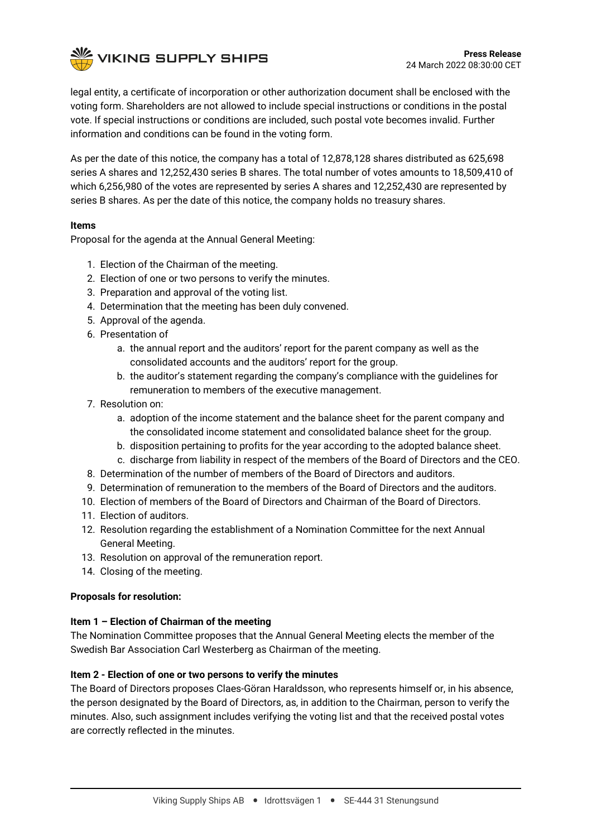

legal entity, a certificate of incorporation or other authorization document shall be enclosed with the voting form. Shareholders are not allowed to include special instructions or conditions in the postal vote. If special instructions or conditions are included, such postal vote becomes invalid. Further information and conditions can be found in the voting form.

As per the date of this notice, the company has a total of 12,878,128 shares distributed as 625,698 series A shares and 12,252,430 series B shares. The total number of votes amounts to 18,509,410 of which 6,256,980 of the votes are represented by series A shares and 12,252,430 are represented by series B shares. As per the date of this notice, the company holds no treasury shares.

# **Items**

Proposal for the agenda at the Annual General Meeting:

- 1. Election of the Chairman of the meeting.
- 2. Election of one or two persons to verify the minutes.
- 3. Preparation and approval of the voting list.
- 4. Determination that the meeting has been duly convened.
- 5. Approval of the agenda.
- 6. Presentation of
	- a. the annual report and the auditors' report for the parent company as well as the consolidated accounts and the auditors' report for the group.
	- b. the auditor's statement regarding the company's compliance with the guidelines for remuneration to members of the executive management.
- 7. Resolution on:
	- a. adoption of the income statement and the balance sheet for the parent company and the consolidated income statement and consolidated balance sheet for the group.
	- b. disposition pertaining to profits for the year according to the adopted balance sheet.
	- c. discharge from liability in respect of the members of the Board of Directors and the CEO.
- 8. Determination of the number of members of the Board of Directors and auditors.
- 9. Determination of remuneration to the members of the Board of Directors and the auditors.
- 10. Election of members of the Board of Directors and Chairman of the Board of Directors.
- 11. Election of auditors.
- 12. Resolution regarding the establishment of a Nomination Committee for the next Annual General Meeting.
- 13. Resolution on approval of the remuneration report.
- 14. Closing of the meeting.

#### **Proposals for resolution:**

#### **Item 1 – Election of Chairman of the meeting**

The Nomination Committee proposes that the Annual General Meeting elects the member of the Swedish Bar Association Carl Westerberg as Chairman of the meeting.

#### **Item 2 - Election of one or two persons to verify the minutes**

The Board of Directors proposes Claes-Göran Haraldsson, who represents himself or, in his absence, the person designated by the Board of Directors, as, in addition to the Chairman, person to verify the minutes. Also, such assignment includes verifying the voting list and that the received postal votes are correctly reflected in the minutes.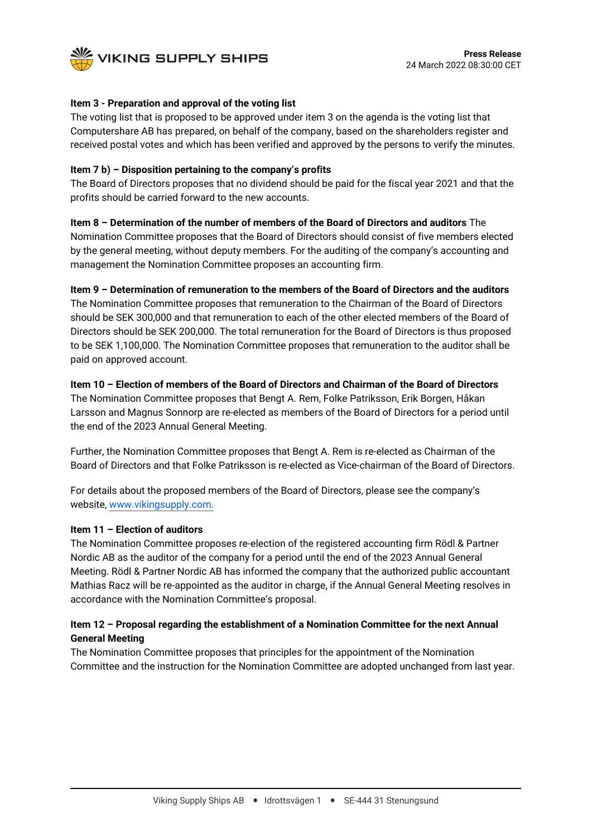

## **Item 3 - Preparation and approval of the voting list**

The voting list that is proposed to be approved under item 3 on the agenda is the voting list that Computershare AB has prepared, on behalf of the company, based on the shareholders register and received postal votes and which has been verified and approved by the persons to verify the minutes.

## **Item 7 b) – Disposition pertaining to the company's profits**

The Board of Directors proposes that no dividend should be paid for the fiscal year 2021 and that the profits should be carried forward to the new accounts.

# **Item 8 – Determination of the number of members of the Board of Directors and auditors** The

Nomination Committee proposes that the Board of Directors should consist of five members elected by the general meeting, without deputy members. For the auditing of the company's accounting and management the Nomination Committee proposes an accounting firm.

# **Item 9 – Determination of remuneration to the members of the Board of Directors and the auditors**

The Nomination Committee proposes that remuneration to the Chairman of the Board of Directors should be SEK 300,000 and that remuneration to each of the other elected members of the Board of Directors should be SEK 200,000. The total remuneration for the Board of Directors is thus proposed to be SEK 1,100,000. The Nomination Committee proposes that remuneration to the auditor shall be paid on approved account.

#### **Item 10 – Election of members of the Board of Directors and Chairman of the Board of Directors**

The Nomination Committee proposes that Bengt A. Rem, Folke Patriksson, Erik Borgen, Håkan Larsson and Magnus Sonnorp are re-elected as members of the Board of Directors for a period until the end of the 2023 Annual General Meeting.

Further, the Nomination Committee proposes that Bengt A. Rem is re-elected as Chairman of the Board of Directors and that Folke Patriksson is re-elected as Vice-chairman of the Board of Directors.

For details about the proposed members of the Board of Directors, please see the company's website, [www.vikingsupply.com.](http://www.vikingsupply.com/)

#### **Item 11 – Election of auditors**

The Nomination Committee proposes re-election of the registered accounting firm Rödl & Partner Nordic AB as the auditor of the company for a period until the end of the 2023 Annual General Meeting. Rödl & Partner Nordic AB has informed the company that the authorized public accountant Mathias Racz will be re-appointed as the auditor in charge, if the Annual General Meeting resolves in accordance with the Nomination Committee's proposal.

# **Item 12 – Proposal regarding the establishment of a Nomination Committee for the next Annual General Meeting**

The Nomination Committee proposes that principles for the appointment of the Nomination Committee and the instruction for the Nomination Committee are adopted unchanged from last year.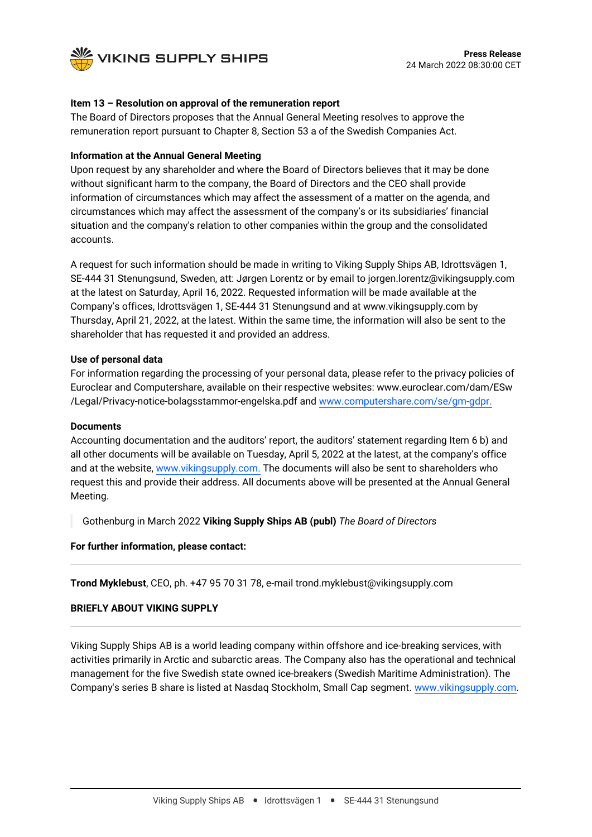

# **Item 13 – Resolution on approval of the remuneration report**

The Board of Directors proposes that the Annual General Meeting resolves to approve the remuneration report pursuant to Chapter 8, Section 53 a of the Swedish Companies Act.

#### **Information at the Annual General Meeting**

Upon request by any shareholder and where the Board of Directors believes that it may be done without significant harm to the company, the Board of Directors and the CEO shall provide information of circumstances which may affect the assessment of a matter on the agenda, and circumstances which may affect the assessment of the company's or its subsidiaries' financial situation and the company's relation to other companies within the group and the consolidated accounts.

A request for such information should be made in writing to Viking Supply Ships AB, Idrottsvägen 1, SE-444 31 Stenungsund, Sweden, att: Jørgen Lorentz or by email to jorgen.lorentz@vikingsupply.com at the latest on Saturday, April 16, 2022. Requested information will be made available at the Company's offices, Idrottsvägen 1, SE-444 31 Stenungsund and at www.vikingsupply.com by Thursday, April 21, 2022, at the latest. Within the same time, the information will also be sent to the shareholder that has requested it and provided an address.

# **Use of personal data**

For information regarding the processing of your personal data, please refer to the privacy policies of Euroclear and Computershare, available on their respective websites: www.euroclear.com/dam/ESw /Legal/Privacy-notice-bolagsstammor-engelska.pdf and [www.computershare.com/se/gm-gdpr.](http://www.computershare.com/se/gm-gdpr)

#### **Documents**

Accounting documentation and the auditors' report, the auditors' statement regarding Item 6 b) and all other documents will be available on Tuesday, April 5, 2022 at the latest, at the company's office and at the website, [www.vikingsupply.com.](http://www.vikingsupply.com/) The documents will also be sent to shareholders who request this and provide their address. All documents above will be presented at the Annual General Meeting.

Gothenburg in March 2022 **Viking Supply Ships AB (publ)** *The Board of Directors*

#### **For further information, please contact:**

**Trond Myklebust**, CEO, ph. +47 95 70 31 78, e-mail trond.myklebust@vikingsupply.com

#### **BRIEFLY ABOUT VIKING SUPPLY**

Viking Supply Ships AB is a world leading company within offshore and ice-breaking services, with activities primarily in Arctic and subarctic areas. The Company also has the operational and technical management for the five Swedish state owned ice-breakers (Swedish Maritime Administration). The Company's series B share is listed at Nasdaq Stockholm, Small Cap segment. [www.vikingsupply.com.](http://www.vikingsupply.com/)